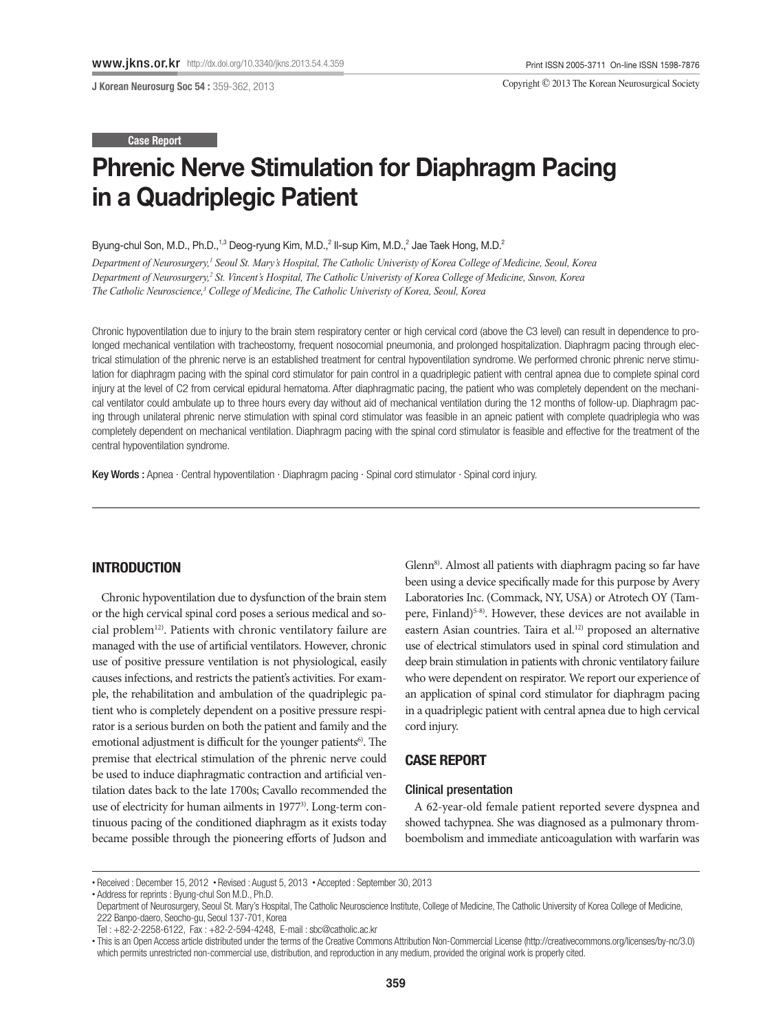J Korean Neurosurg Soc 54 : 359-362, 2013

Copyright © 2013 The Korean Neurosurgical Society

#### Case Report

# Phrenic Nerve Stimulation for Diaphragm Pacing in a Quadriplegic Patient

Byung-chul Son, M.D., Ph.D.,<sup>1,3</sup> Deog-ryung Kim, M.D.,<sup>2</sup> Il-sup Kim, M.D.,<sup>2</sup> Jae Taek Hong, M.D.<sup>2</sup>

Department of Neurosurgery,' Seoul St. Mary's Hospital, The Catholic Univeristy of Korea College of Medicine, Seoul, Korea Department of Neurosurgery,<sup>2</sup> St. Vincent's Hospital, The Catholic Univeristy of Korea College of Medicine, Suwon, Korea *The Catholic Neuroscience,3 College of Medicine, The Catholic Univeristy of Korea, Seoul, Korea* 

Chronic hypoventilation due to injury to the brain stem respiratory center or high cervical cord (above the C3 level) can result in dependence to prolonged mechanical ventilation with tracheostomy, frequent nosocomial pneumonia, and prolonged hospitalization. Diaphragm pacing through electrical stimulation of the phrenic nerve is an established treatment for central hypoventilation syndrome. We performed chronic phrenic nerve stimulation for diaphragm pacing with the spinal cord stimulator for pain control in a quadriplegic patient with central apnea due to complete spinal cord injury at the level of C2 from cervical epidural hematoma. After diaphragmatic pacing, the patient who was completely dependent on the mechanical ventilator could ambulate up to three hours every day without aid of mechanical ventilation during the 12 months of follow-up. Diaphragm pacing through unilateral phrenic nerve stimulation with spinal cord stimulator was feasible in an apneic patient with complete quadriplegia who was completely dependent on mechanical ventilation. Diaphragm pacing with the spinal cord stimulator is feasible and effective for the treatment of the central hypoventilation syndrome.

Key Words : Apnea · Central hypoventilation · Diaphragm pacing · Spinal cord stimulator · Spinal cord injury.

## INTRODUCTION

Chronic hypoventilation due to dysfunction of the brain stem or the high cervical spinal cord poses a serious medical and social problem12). Patients with chronic ventilatory failure are managed with the use of artificial ventilators. However, chronic use of positive pressure ventilation is not physiological, easily causes infections, and restricts the patient's activities. For example, the rehabilitation and ambulation of the quadriplegic patient who is completely dependent on a positive pressure respirator is a serious burden on both the patient and family and the emotional adjustment is difficult for the younger patients<sup>6)</sup>. The premise that electrical stimulation of the phrenic nerve could be used to induce diaphragmatic contraction and artificial ventilation dates back to the late 1700s; Cavallo recommended the use of electricity for human ailments in 1977<sup>3)</sup>. Long-term continuous pacing of the conditioned diaphragm as it exists today became possible through the pioneering efforts of Judson and

Glenn<sup>8)</sup>. Almost all patients with diaphragm pacing so far have been using a device specifically made for this purpose by Avery Laboratories Inc. (Commack, NY, USA) or Atrotech OY (Tampere, Finland)<sup>5-8)</sup>. However, these devices are not available in eastern Asian countries. Taira et al.<sup>12)</sup> proposed an alternative use of electrical stimulators used in spinal cord stimulation and deep brain stimulation in patients with chronic ventilatory failure who were dependent on respirator. We report our experience of an application of spinal cord stimulator for diaphragm pacing in a quadriplegic patient with central apnea due to high cervical cord injury.

# CASE REPORT

## Clinical presentation

A 62-year-old female patient reported severe dyspnea and showed tachypnea. She was diagnosed as a pulmonary thromboembolism and immediate anticoagulation with warfarin was

<sup>•</sup> Received : December 15, 2012 • Revised : August 5, 2013 • Accepted : September 30, 2013

<sup>•</sup> Address for reprints : Byung-chul Son M.D., Ph.D.

Department of Neurosurgery, Seoul St. Mary's Hospital, The Catholic Neuroscience Institute, College of Medicine, The Catholic University of Korea College of Medicine, 222 Banpo-daero, Seocho-gu, Seoul 137-701, Korea

Tel : +82-2-2258-6122, Fax : +82-2-594-4248, E-mail : sbc@catholic.ac.kr

<sup>•</sup> This is an Open Access article distributed under the terms of the Creative Commons Attribution Non-Commercial License (http://creativecommons.org/licenses/by-nc/3.0) which permits unrestricted non-commercial use, distribution, and reproduction in any medium, provided the original work is properly cited.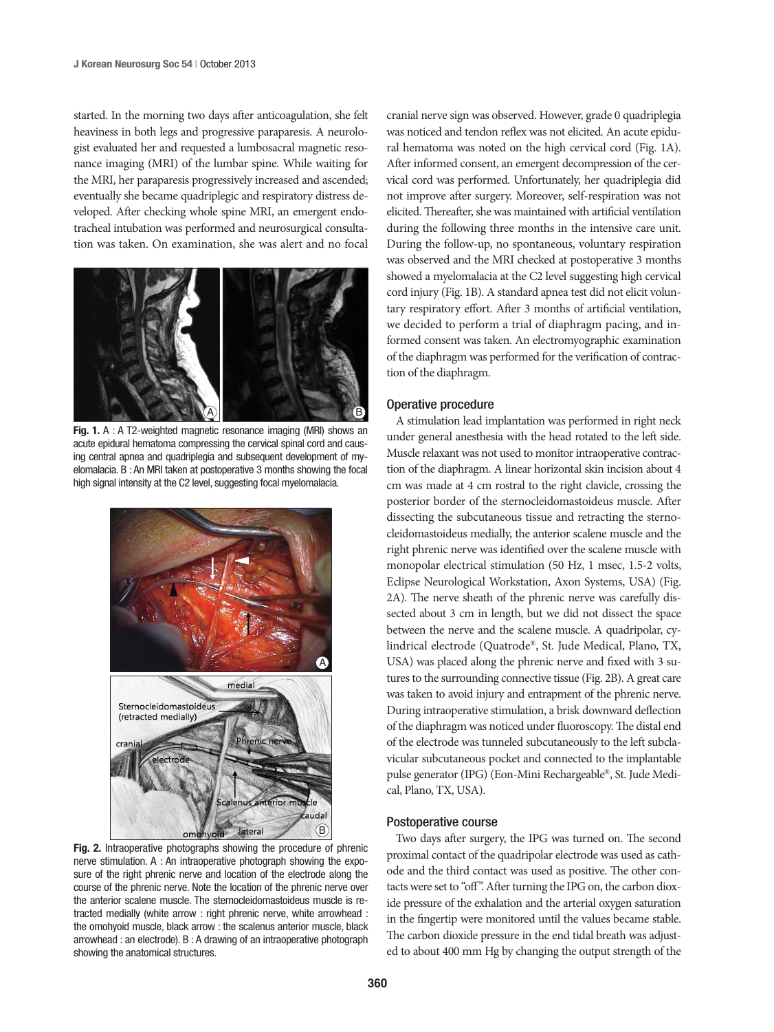started. In the morning two days after anticoagulation, she felt heaviness in both legs and progressive paraparesis. A neurologist evaluated her and requested a lumbosacral magnetic resonance imaging (MRI) of the lumbar spine. While waiting for the MRI, her paraparesis progressively increased and ascended; eventually she became quadriplegic and respiratory distress developed. After checking whole spine MRI, an emergent endotracheal intubation was performed and neurosurgical consultation was taken. On examination, she was alert and no focal



Fig. 1. A : A T2-weighted magnetic resonance imaging (MRI) shows an acute epidural hematoma compressing the cervical spinal cord and causing central apnea and quadriplegia and subsequent development of myelomalacia. B : An MRI taken at postoperative 3 months showing the focal high signal intensity at the C2 level, suggesting focal myelomalacia.



Fig. 2. Intraoperative photographs showing the procedure of phrenic nerve stimulation. A : An intraoperative photograph showing the exposure of the right phrenic nerve and location of the electrode along the course of the phrenic nerve. Note the location of the phrenic nerve over the anterior scalene muscle. The sternocleidomastoideus muscle is retracted medially (white arrow : right phrenic nerve, white arrowhead : the omohyoid muscle, black arrow : the scalenus anterior muscle, black arrowhead : an electrode). B : A drawing of an intraoperative photograph showing the anatomical structures.

cranial nerve sign was observed. However, grade 0 quadriplegia was noticed and tendon reflex was not elicited. An acute epidural hematoma was noted on the high cervical cord (Fig. 1A). After informed consent, an emergent decompression of the cervical cord was performed. Unfortunately, her quadriplegia did not improve after surgery. Moreover, self-respiration was not elicited. Thereafter, she was maintained with artificial ventilation during the following three months in the intensive care unit. During the follow-up, no spontaneous, voluntary respiration was observed and the MRI checked at postoperative 3 months showed a myelomalacia at the C2 level suggesting high cervical cord injury (Fig. 1B). A standard apnea test did not elicit voluntary respiratory effort. After 3 months of artificial ventilation, we decided to perform a trial of diaphragm pacing, and informed consent was taken. An electromyographic examination of the diaphragm was performed for the verification of contraction of the diaphragm.

## Operative procedure

A stimulation lead implantation was performed in right neck under general anesthesia with the head rotated to the left side. Muscle relaxant was not used to monitor intraoperative contraction of the diaphragm. A linear horizontal skin incision about 4 cm was made at 4 cm rostral to the right clavicle, crossing the posterior border of the sternocleidomastoideus muscle. After dissecting the subcutaneous tissue and retracting the sternocleidomastoideus medially, the anterior scalene muscle and the right phrenic nerve was identified over the scalene muscle with monopolar electrical stimulation (50 Hz, 1 msec, 1.5-2 volts, Eclipse Neurological Workstation, Axon Systems, USA) (Fig. 2A). The nerve sheath of the phrenic nerve was carefully dissected about 3 cm in length, but we did not dissect the space between the nerve and the scalene muscle. A quadripolar, cylindrical electrode (Quatrode®, St. Jude Medical, Plano, TX, USA) was placed along the phrenic nerve and fixed with 3 sutures to the surrounding connective tissue (Fig. 2B). A great care was taken to avoid injury and entrapment of the phrenic nerve. During intraoperative stimulation, a brisk downward deflection of the diaphragm was noticed under fluoroscopy. The distal end of the electrode was tunneled subcutaneously to the left subclavicular subcutaneous pocket and connected to the implantable pulse generator (IPG) (Eon-Mini Rechargeable®, St. Jude Medical, Plano, TX, USA).

### Postoperative course

Two days after surgery, the IPG was turned on. The second proximal contact of the quadripolar electrode was used as cathode and the third contact was used as positive. The other contacts were set to "off". After turning the IPG on, the carbon dioxide pressure of the exhalation and the arterial oxygen saturation in the fingertip were monitored until the values became stable. The carbon dioxide pressure in the end tidal breath was adjusted to about 400 mm Hg by changing the output strength of the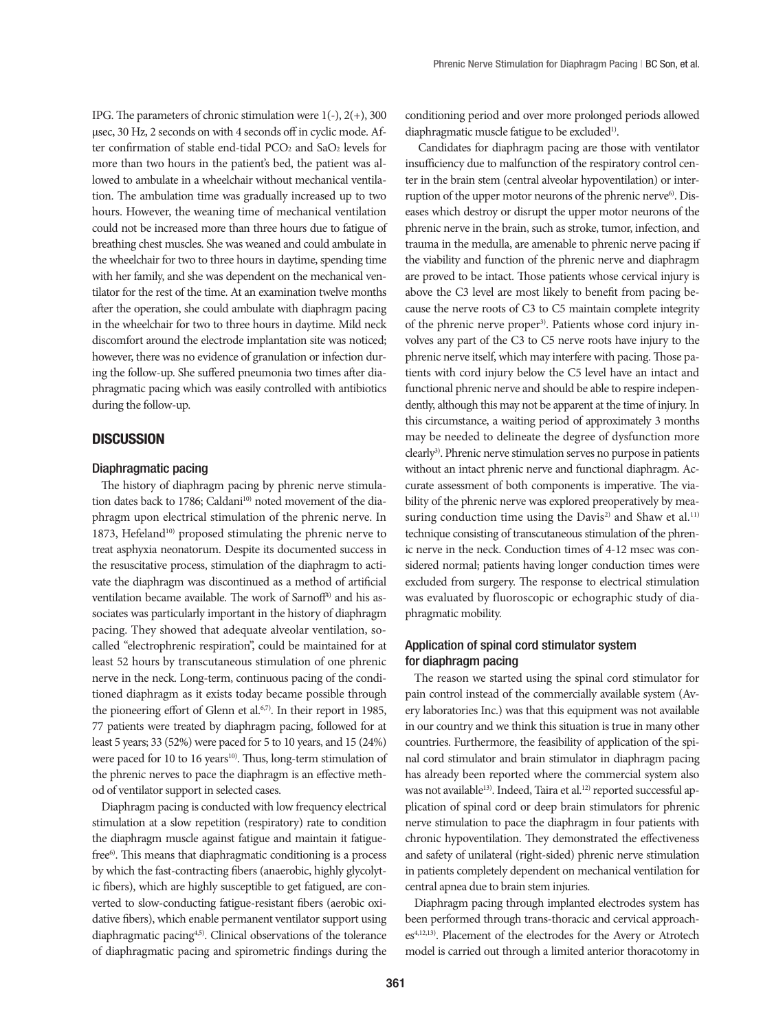IPG. The parameters of chronic stimulation were  $1(-)$ ,  $2(+)$ , 300 µsec, 30 Hz, 2 seconds on with 4 seconds off in cyclic mode. After confirmation of stable end-tidal PCO<sub>2</sub> and SaO<sub>2</sub> levels for more than two hours in the patient's bed, the patient was allowed to ambulate in a wheelchair without mechanical ventilation. The ambulation time was gradually increased up to two hours. However, the weaning time of mechanical ventilation could not be increased more than three hours due to fatigue of breathing chest muscles. She was weaned and could ambulate in the wheelchair for two to three hours in daytime, spending time with her family, and she was dependent on the mechanical ventilator for the rest of the time. At an examination twelve months after the operation, she could ambulate with diaphragm pacing in the wheelchair for two to three hours in daytime. Mild neck discomfort around the electrode implantation site was noticed; however, there was no evidence of granulation or infection during the follow-up. She suffered pneumonia two times after diaphragmatic pacing which was easily controlled with antibiotics during the follow-up.

# **DISCUSSION**

### Diaphragmatic pacing

The history of diaphragm pacing by phrenic nerve stimulation dates back to 1786; Caldani<sup>10)</sup> noted movement of the diaphragm upon electrical stimulation of the phrenic nerve. In 1873, Hefeland<sup>10)</sup> proposed stimulating the phrenic nerve to treat asphyxia neonatorum. Despite its documented success in the resuscitative process, stimulation of the diaphragm to activate the diaphragm was discontinued as a method of artificial ventilation became available. The work of Sarnoff<sup>4)</sup> and his associates was particularly important in the history of diaphragm pacing. They showed that adequate alveolar ventilation, socalled "electrophrenic respiration", could be maintained for at least 52 hours by transcutaneous stimulation of one phrenic nerve in the neck. Long-term, continuous pacing of the conditioned diaphragm as it exists today became possible through the pioneering effort of Glenn et al.<sup>6,7)</sup>. In their report in 1985, 77 patients were treated by diaphragm pacing, followed for at least 5 years; 33 (52%) were paced for 5 to 10 years, and 15 (24%) were paced for 10 to 16 years<sup>10)</sup>. Thus, long-term stimulation of the phrenic nerves to pace the diaphragm is an effective method of ventilator support in selected cases.

Diaphragm pacing is conducted with low frequency electrical stimulation at a slow repetition (respiratory) rate to condition the diaphragm muscle against fatigue and maintain it fatiguefree<sup>6)</sup>. This means that diaphragmatic conditioning is a process by which the fast-contracting fibers (anaerobic, highly glycolytic fibers), which are highly susceptible to get fatigued, are converted to slow-conducting fatigue-resistant fibers (aerobic oxidative fibers), which enable permanent ventilator support using diaphragmatic pacing4,5). Clinical observations of the tolerance of diaphragmatic pacing and spirometric findings during the conditioning period and over more prolonged periods allowed diaphragmatic muscle fatigue to be excluded<sup>1)</sup>.

 Candidates for diaphragm pacing are those with ventilator insufficiency due to malfunction of the respiratory control center in the brain stem (central alveolar hypoventilation) or interruption of the upper motor neurons of the phrenic nerve<sup>6)</sup>. Diseases which destroy or disrupt the upper motor neurons of the phrenic nerve in the brain, such as stroke, tumor, infection, and trauma in the medulla, are amenable to phrenic nerve pacing if the viability and function of the phrenic nerve and diaphragm are proved to be intact. Those patients whose cervical injury is above the C3 level are most likely to benefit from pacing because the nerve roots of C3 to C5 maintain complete integrity of the phrenic nerve proper<sup>3)</sup>. Patients whose cord injury involves any part of the C3 to C5 nerve roots have injury to the phrenic nerve itself, which may interfere with pacing. Those patients with cord injury below the C5 level have an intact and functional phrenic nerve and should be able to respire independently, although this may not be apparent at the time of injury. In this circumstance, a waiting period of approximately 3 months may be needed to delineate the degree of dysfunction more clearly<sup>3)</sup>. Phrenic nerve stimulation serves no purpose in patients without an intact phrenic nerve and functional diaphragm. Accurate assessment of both components is imperative. The viability of the phrenic nerve was explored preoperatively by measuring conduction time using the Davis<sup>2)</sup> and Shaw et al.<sup>11)</sup> technique consisting of transcutaneous stimulation of the phrenic nerve in the neck. Conduction times of 4-12 msec was considered normal; patients having longer conduction times were excluded from surgery. The response to electrical stimulation was evaluated by fluoroscopic or echographic study of diaphragmatic mobility.

# Application of spinal cord stimulator system for diaphragm pacing

The reason we started using the spinal cord stimulator for pain control instead of the commercially available system (Avery laboratories Inc.) was that this equipment was not available in our country and we think this situation is true in many other countries. Furthermore, the feasibility of application of the spinal cord stimulator and brain stimulator in diaphragm pacing has already been reported where the commercial system also was not available<sup>13)</sup>. Indeed, Taira et al.<sup>12)</sup> reported successful application of spinal cord or deep brain stimulators for phrenic nerve stimulation to pace the diaphragm in four patients with chronic hypoventilation. They demonstrated the effectiveness and safety of unilateral (right-sided) phrenic nerve stimulation in patients completely dependent on mechanical ventilation for central apnea due to brain stem injuries.

Diaphragm pacing through implanted electrodes system has been performed through trans-thoracic and cervical approaches<sup>4,12,13)</sup>. Placement of the electrodes for the Avery or Atrotech model is carried out through a limited anterior thoracotomy in